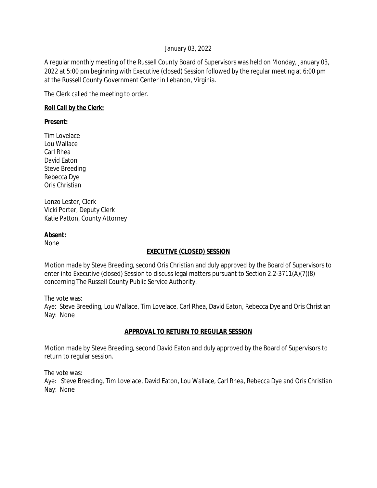### January 03, 2022

A regular monthly meeting of the Russell County Board of Supervisors was held on Monday, January 03, 2022 at 5:00 pm beginning with Executive (closed) Session followed by the regular meeting at 6:00 pm at the Russell County Government Center in Lebanon, Virginia.

The Clerk called the meeting to order.

### **Roll Call by the Clerk:**

**Present:**

Tim Lovelace Lou Wallace Carl Rhea David Eaton Steve Breeding Rebecca Dye Oris Christian

Lonzo Lester, Clerk Vicki Porter, Deputy Clerk Katie Patton, County Attorney

### **Absent:**

None

## **EXECUTIVE (CLOSED) SESSION**

Motion made by Steve Breeding, second Oris Christian and duly approved by the Board of Supervisors to enter into Executive (closed) Session to discuss legal matters pursuant to Section 2.2-3711(A)(7)(8) concerning The Russell County Public Service Authority.

The vote was:

Aye: Steve Breeding, Lou Wallace, Tim Lovelace, Carl Rhea, David Eaton, Rebecca Dye and Oris Christian Nay: None

## **APPROVAL TO RETURN TO REGULAR SESSION**

Motion made by Steve Breeding, second David Eaton and duly approved by the Board of Supervisors to return to regular session.

The vote was:

Aye: Steve Breeding, Tim Lovelace, David Eaton, Lou Wallace, Carl Rhea, Rebecca Dye and Oris Christian Nay: None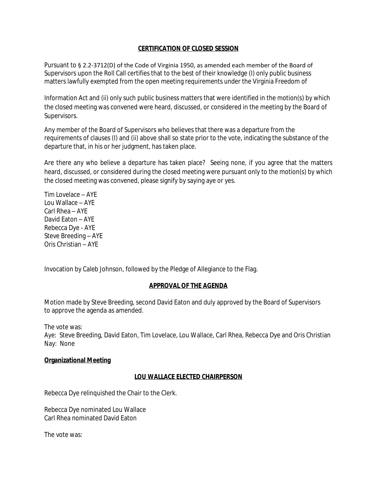### **CERTIFICATION OF CLOSED SESSION**

Pursuant to § 2.2-3712(D) of the Code of Virginia 1950, as amended each member of the Board of Supervisors upon the Roll Call certifies that to the best of their knowledge (I) only public business matters lawfully exempted from the open meeting requirements under the Virginia Freedom of

Information Act and (ii) only such public business matters that were identified in the motion(s) by which the closed meeting was convened were heard, discussed, or considered in the meeting by the Board of Supervisors.

Any member of the Board of Supervisors who believes that there was a departure from the requirements of clauses (I) and (ii) above shall so state prior to the vote, indicating the substance of the departure that, in his or her judgment, has taken place.

Are there any who believe a departure has taken place? Seeing none, if you agree that the matters heard, discussed, or considered during the closed meeting were pursuant only to the motion(s) by which the closed meeting was convened, please signify by saying aye or yes.

Tim Lovelace – AYE Lou Wallace – AYE Carl Rhea – AYE David Eaton – AYE Rebecca Dye - AYE Steve Breeding – AYE Oris Christian – AYE

Invocation by Caleb Johnson, followed by the Pledge of Allegiance to the Flag.

### **APPROVAL OF THE AGENDA**

Motion made by Steve Breeding, second David Eaton and duly approved by the Board of Supervisors to approve the agenda as amended.

The vote was:

Aye: Steve Breeding, David Eaton, Tim Lovelace, Lou Wallace, Carl Rhea, Rebecca Dye and Oris Christian Nay: None

### **Organizational Meeting**

### **LOU WALLACE ELECTED CHAIRPERSON**

Rebecca Dye relinquished the Chair to the Clerk.

Rebecca Dye nominated Lou Wallace Carl Rhea nominated David Eaton

The vote was: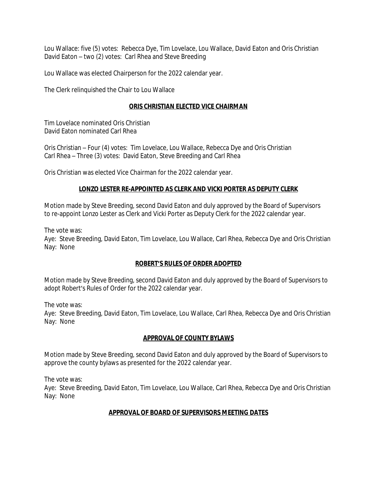Lou Wallace: five (5) votes: Rebecca Dye, Tim Lovelace, Lou Wallace, David Eaton and Oris Christian David Eaton – two (2) votes: Carl Rhea and Steve Breeding

Lou Wallace was elected Chairperson for the 2022 calendar year.

The Clerk relinquished the Chair to Lou Wallace

### **ORIS CHRISTIAN ELECTED VICE CHAIRMAN**

Tim Lovelace nominated Oris Christian David Eaton nominated Carl Rhea

Oris Christian – Four (4) votes: Tim Lovelace, Lou Wallace, Rebecca Dye and Oris Christian Carl Rhea – Three (3) votes: David Eaton, Steve Breeding and Carl Rhea

Oris Christian was elected Vice Chairman for the 2022 calendar year.

### **LONZO LESTER RE-APPOINTED AS CLERK AND VICKI PORTER AS DEPUTY CLERK**

Motion made by Steve Breeding, second David Eaton and duly approved by the Board of Supervisors to re-appoint Lonzo Lester as Clerk and Vicki Porter as Deputy Clerk for the 2022 calendar year.

The vote was:

Aye: Steve Breeding, David Eaton, Tim Lovelace, Lou Wallace, Carl Rhea, Rebecca Dye and Oris Christian Nay: None

### **ROBERT'S RULES OF ORDER ADOPTED**

Motion made by Steve Breeding, second David Eaton and duly approved by the Board of Supervisors to adopt Robert's Rules of Order for the 2022 calendar year.

The vote was:

Aye: Steve Breeding, David Eaton, Tim Lovelace, Lou Wallace, Carl Rhea, Rebecca Dye and Oris Christian Nay: None

### **APPROVAL OF COUNTY BYLAWS**

Motion made by Steve Breeding, second David Eaton and duly approved by the Board of Supervisors to approve the county bylaws as presented for the 2022 calendar year.

The vote was:

Aye: Steve Breeding, David Eaton, Tim Lovelace, Lou Wallace, Carl Rhea, Rebecca Dye and Oris Christian Nay: None

## **APPROVAL OF BOARD OF SUPERVISORS MEETING DATES**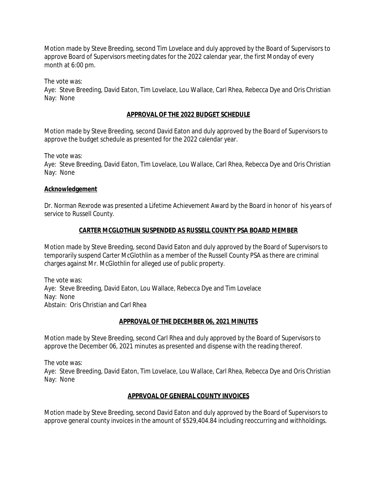Motion made by Steve Breeding, second Tim Lovelace and duly approved by the Board of Supervisors to approve Board of Supervisors meeting dates for the 2022 calendar year, the first Monday of every month at 6:00 pm.

The vote was:

Aye: Steve Breeding, David Eaton, Tim Lovelace, Lou Wallace, Carl Rhea, Rebecca Dye and Oris Christian Nay: None

## **APPROVAL OF THE 2022 BUDGET SCHEDULE**

Motion made by Steve Breeding, second David Eaton and duly approved by the Board of Supervisors to approve the budget schedule as presented for the 2022 calendar year.

The vote was:

Aye: Steve Breeding, David Eaton, Tim Lovelace, Lou Wallace, Carl Rhea, Rebecca Dye and Oris Christian Nay: None

### **Acknowledgement**

Dr. Norman Rexrode was presented a Lifetime Achievement Award by the Board in honor of his years of service to Russell County.

# **CARTER MCGLOTHLIN SUSPENDED AS RUSSELL COUNTY PSA BOARD MEMBER**

Motion made by Steve Breeding, second David Eaton and duly approved by the Board of Supervisors to temporarily suspend Carter McGlothlin as a member of the Russell County PSA as there are criminal charges against Mr. McGlothlin for alleged use of public property.

The vote was: Aye: Steve Breeding, David Eaton, Lou Wallace, Rebecca Dye and Tim Lovelace Nay: None Abstain: Oris Christian and Carl Rhea

## **APPROVAL OF THE DECEMBER 06, 2021 MINUTES**

Motion made by Steve Breeding, second Carl Rhea and duly approved by the Board of Supervisors to approve the December 06, 2021 minutes as presented and dispense with the reading thereof.

The vote was:

Aye: Steve Breeding, David Eaton, Tim Lovelace, Lou Wallace, Carl Rhea, Rebecca Dye and Oris Christian Nay: None

## **APPRVOAL OF GENERAL COUNTY INVOICES**

Motion made by Steve Breeding, second David Eaton and duly approved by the Board of Supervisors to approve general county invoices in the amount of \$529,404.84 including reoccurring and withholdings.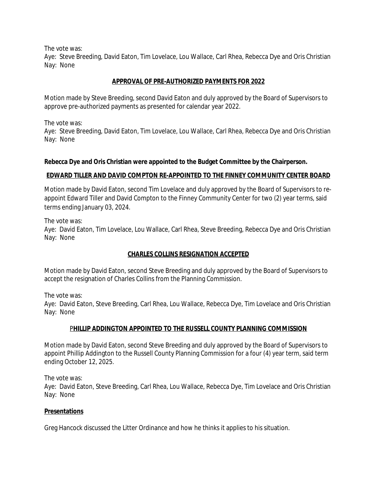The vote was:

Aye: Steve Breeding, David Eaton, Tim Lovelace, Lou Wallace, Carl Rhea, Rebecca Dye and Oris Christian Nay: None

### **APPROVAL OF PRE-AUTHORIZED PAYMENTS FOR 2022**

Motion made by Steve Breeding, second David Eaton and duly approved by the Board of Supervisors to approve pre-authorized payments as presented for calendar year 2022.

The vote was:

Aye: Steve Breeding, David Eaton, Tim Lovelace, Lou Wallace, Carl Rhea, Rebecca Dye and Oris Christian Nay: None

### **Rebecca Dye and Oris Christian were appointed to the Budget Committee by the Chairperson.**

### **EDWARD TILLER AND DAVID COMPTON RE-APPOINTED TO THE FINNEY COMMUNITY CENTER BOARD**

Motion made by David Eaton, second Tim Lovelace and duly approved by the Board of Supervisors to reappoint Edward Tiller and David Compton to the Finney Community Center for two (2) year terms, said terms ending January 03, 2024.

The vote was:

Aye: David Eaton, Tim Lovelace, Lou Wallace, Carl Rhea, Steve Breeding, Rebecca Dye and Oris Christian Nay: None

### **CHARLES COLLINS RESIGNATION ACCEPTED**

Motion made by David Eaton, second Steve Breeding and duly approved by the Board of Supervisors to accept the resignation of Charles Collins from the Planning Commission.

The vote was:

Aye: David Eaton, Steve Breeding, Carl Rhea, Lou Wallace, Rebecca Dye, Tim Lovelace and Oris Christian Nay: None

### P**HILLIP ADDINGTON APPOINTED TO THE RUSSELL COUNTY PLANNING COMMISSION**

Motion made by David Eaton, second Steve Breeding and duly approved by the Board of Supervisors to appoint Phillip Addington to the Russell County Planning Commission for a four (4) year term, said term ending October 12, 2025.

The vote was:

Aye: David Eaton, Steve Breeding, Carl Rhea, Lou Wallace, Rebecca Dye, Tim Lovelace and Oris Christian Nay: None

### **Presentations**

Greg Hancock discussed the Litter Ordinance and how he thinks it applies to his situation.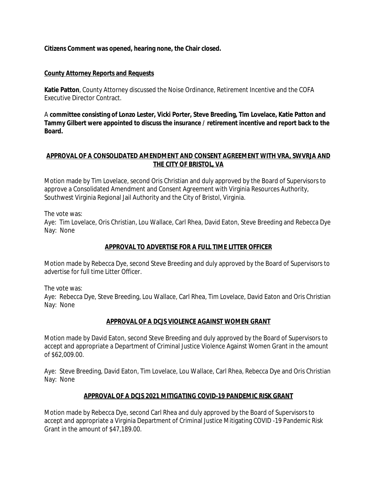**Citizens Comment was opened, hearing none, the Chair closed.**

### **County Attorney Reports and Requests**

**Katie Patton**, County Attorney discussed the Noise Ordinance, Retirement Incentive and the COFA Executive Director Contract.

A **committee consisting of Lonzo Lester, Vicki Porter, Steve Breeding, Tim Lovelace, Katie Patton and Tammy Gilbert were appointed to discuss the insurance / retirement incentive and report back to the Board.**

### **APPROVAL OF A CONSOLIDATED AMENDMENT AND CONSENT AGREEMENT WITH VRA, SWVRJA AND THE CITY OF BRISTOL, VA**

Motion made by Tim Lovelace, second Oris Christian and duly approved by the Board of Supervisors to approve a Consolidated Amendment and Consent Agreement with Virginia Resources Authority, Southwest Virginia Regional Jail Authority and the City of Bristol, Virginia.

The vote was:

Aye: Tim Lovelace, Oris Christian, Lou Wallace, Carl Rhea, David Eaton, Steve Breeding and Rebecca Dye Nay: None

## **APPROVAL TO ADVERTISE FOR A FULL TIME LITTER OFFICER**

Motion made by Rebecca Dye, second Steve Breeding and duly approved by the Board of Supervisors to advertise for full time Litter Officer.

The vote was:

Aye: Rebecca Dye, Steve Breeding, Lou Wallace, Carl Rhea, Tim Lovelace, David Eaton and Oris Christian Nay: None

## **APPROVAL OF A DCJS VIOLENCE AGAINST WOMEN GRANT**

Motion made by David Eaton, second Steve Breeding and duly approved by the Board of Supervisors to accept and appropriate a Department of Criminal Justice Violence Against Women Grant in the amount of \$62,009.00.

Aye: Steve Breeding, David Eaton, Tim Lovelace, Lou Wallace, Carl Rhea, Rebecca Dye and Oris Christian Nay: None

## **APPROVAL OF A DCJS 2021 MITIGATING COVID-19 PANDEMIC RISK GRANT**

Motion made by Rebecca Dye, second Carl Rhea and duly approved by the Board of Supervisors to accept and appropriate a Virginia Department of Criminal Justice Mitigating COVID -19 Pandemic Risk Grant in the amount of \$47,189.00.